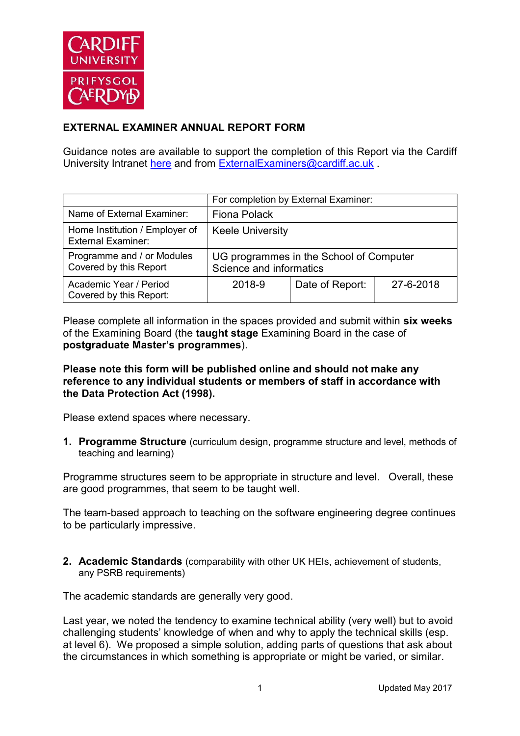

## **EXTERNAL EXAMINER ANNUAL REPORT FORM**

Guidance notes are available to support the completion of this Report via the Cardiff University Intranet [here](https://intranet.cardiff.ac.uk/staff/teaching-and-supporting-students/exams-and-assessment/exam-boards-and-external-examiners/for-current-external-examiners/external-examiners-reports) and from [ExternalExaminers@cardiff.ac.uk](mailto:ExternalExaminers@cardiff.ac.uk) .

|                                                             |                                                                    | For completion by External Examiner: |           |
|-------------------------------------------------------------|--------------------------------------------------------------------|--------------------------------------|-----------|
| Name of External Examiner:                                  | Fiona Polack                                                       |                                      |           |
| Home Institution / Employer of<br><b>External Examiner:</b> | <b>Keele University</b>                                            |                                      |           |
| Programme and / or Modules<br>Covered by this Report        | UG programmes in the School of Computer<br>Science and informatics |                                      |           |
| Academic Year / Period<br>Covered by this Report:           | 2018-9                                                             | Date of Report:                      | 27-6-2018 |

Please complete all information in the spaces provided and submit within **six weeks** of the Examining Board (the **taught stage** Examining Board in the case of **postgraduate Master's programmes**).

**Please note this form will be published online and should not make any reference to any individual students or members of staff in accordance with the Data Protection Act (1998).**

Please extend spaces where necessary.

**1. Programme Structure** (curriculum design, programme structure and level, methods of teaching and learning)

Programme structures seem to be appropriate in structure and level. Overall, these are good programmes, that seem to be taught well.

The team-based approach to teaching on the software engineering degree continues to be particularly impressive.

**2. Academic Standards** (comparability with other UK HEIs, achievement of students, any PSRB requirements)

The academic standards are generally very good.

Last year, we noted the tendency to examine technical ability (very well) but to avoid challenging students' knowledge of when and why to apply the technical skills (esp. at level 6). We proposed a simple solution, adding parts of questions that ask about the circumstances in which something is appropriate or might be varied, or similar.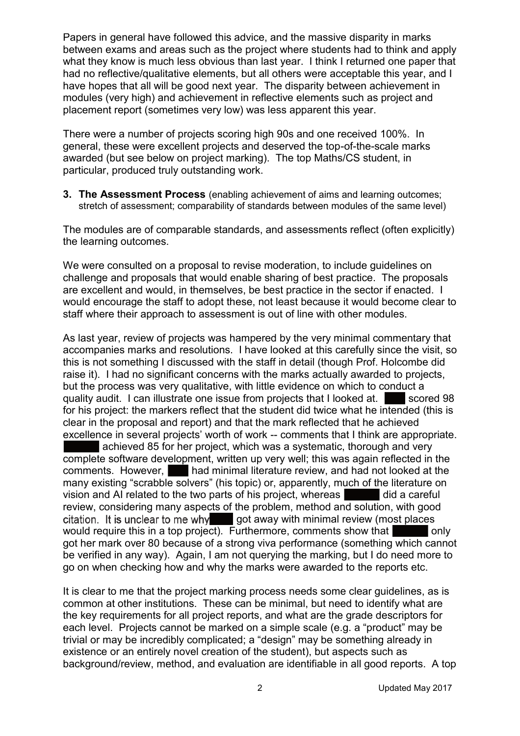Papers in general have followed this advice, and the massive disparity in marks between exams and areas such as the project where students had to think and apply what they know is much less obvious than last year. I think I returned one paper that had no reflective/qualitative elements, but all others were acceptable this year, and I have hopes that all will be good next year. The disparity between achievement in modules (very high) and achievement in reflective elements such as project and placement report (sometimes very low) was less apparent this year.

There were a number of projects scoring high 90s and one received 100%. In general, these were excellent projects and deserved the top-of-the-scale marks awarded (but see below on project marking). The top Maths/CS student, in particular, produced truly outstanding work.

**3. The Assessment Process** (enabling achievement of aims and learning outcomes; stretch of assessment; comparability of standards between modules of the same level)

The modules are of comparable standards, and assessments reflect (often explicitly) the learning outcomes.

We were consulted on a proposal to revise moderation, to include guidelines on challenge and proposals that would enable sharing of best practice. The proposals are excellent and would, in themselves, be best practice in the sector if enacted. I would encourage the staff to adopt these, not least because it would become clear to staff where their approach to assessment is out of line with other modules.

As last year, review of projects was hampered by the very minimal commentary that accompanies marks and resolutions. I have looked at this carefully since the visit, so this is not something I discussed with the staff in detail (though Prof. Holcombe did raise it). I had no significant concerns with the marks actually awarded to projects, but the process was very qualitative, with little evidence on which to conduct a quality audit. I can illustrate one issue from projects that I looked at. Scored 98 for his project: the markers reflect that the student did twice what he intended (this is clear in the proposal and report) and that the mark reflected that he achieved excellence in several projects' worth of work -- comments that I think are appropriate. achieved 85 for her project, which was a systematic, thorough and very complete software development, written up very well; this was again reflected in the comments. However, had minimal literature review, and had not looked at the many existing "scrabble solvers" (his topic) or, apparently, much of the literature on vision and AI related to the two parts of his project, whereas did a careful review, considering many aspects of the problem, method and solution, with good citation. It is unclear to me why got away with minimal review (most places

would require this in a top project). Furthermore, comments show that only got her mark over 80 because of a strong viva performance (something which cannot be verified in any way). Again, I am not querying the marking, but I do need more to go on when checking how and why the marks were awarded to the reports etc.

It is clear to me that the project marking process needs some clear guidelines, as is common at other institutions. These can be minimal, but need to identify what are the key requirements for all project reports, and what are the grade descriptors for each level. Projects cannot be marked on a simple scale (e.g. a "product" may be trivial or may be incredibly complicated; a "design" may be something already in existence or an entirely novel creation of the student), but aspects such as background/review, method, and evaluation are identifiable in all good reports. A top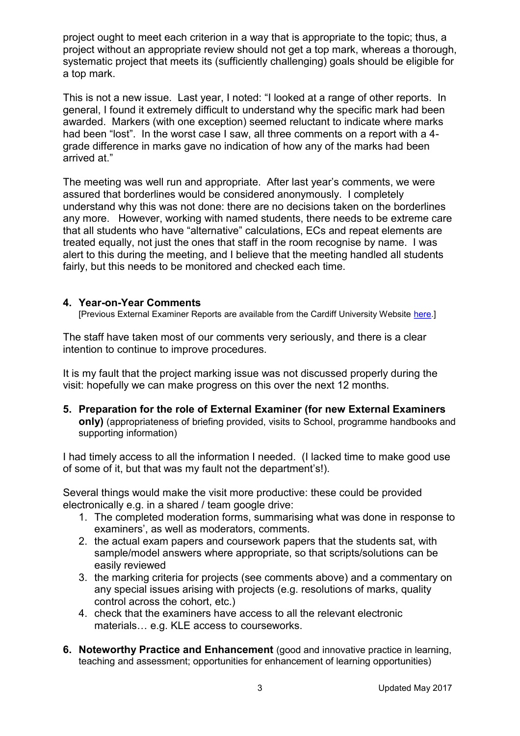project ought to meet each criterion in a way that is appropriate to the topic; thus, a project without an appropriate review should not get a top mark, whereas a thorough, systematic project that meets its (sufficiently challenging) goals should be eligible for a top mark.

This is not a new issue. Last year, I noted: "I looked at a range of other reports. In general, I found it extremely difficult to understand why the specific mark had been awarded. Markers (with one exception) seemed reluctant to indicate where marks had been "lost". In the worst case I saw, all three comments on a report with a 4grade difference in marks gave no indication of how any of the marks had been arrived at."

The meeting was well run and appropriate. After last year's comments, we were assured that borderlines would be considered anonymously. I completely understand why this was not done: there are no decisions taken on the borderlines any more. However, working with named students, there needs to be extreme care that all students who have "alternative" calculations, ECs and repeat elements are treated equally, not just the ones that staff in the room recognise by name. I was alert to this during the meeting, and I believe that the meeting handled all students fairly, but this needs to be monitored and checked each time.

## **4. Year-on-Year Comments**

[Previous External Examiner Reports are available from the Cardiff University Website [here.](https://www.cardiff.ac.uk/public-information/quality-and-standards/external-examiner-reports)]

The staff have taken most of our comments very seriously, and there is a clear intention to continue to improve procedures.

It is my fault that the project marking issue was not discussed properly during the visit: hopefully we can make progress on this over the next 12 months.

**5. Preparation for the role of External Examiner (for new External Examiners only)** (appropriateness of briefing provided, visits to School, programme handbooks and supporting information)

I had timely access to all the information I needed. (I lacked time to make good use of some of it, but that was my fault not the department's!).

Several things would make the visit more productive: these could be provided electronically e.g. in a shared / team google drive:

- 1. The completed moderation forms, summarising what was done in response to examiners', as well as moderators, comments.
- 2. the actual exam papers and coursework papers that the students sat, with sample/model answers where appropriate, so that scripts/solutions can be easily reviewed
- 3. the marking criteria for projects (see comments above) and a commentary on any special issues arising with projects (e.g. resolutions of marks, quality control across the cohort, etc.)
- 4. check that the examiners have access to all the relevant electronic materials… e.g. KLE access to courseworks.
- **6. Noteworthy Practice and Enhancement** (good and innovative practice in learning, teaching and assessment; opportunities for enhancement of learning opportunities)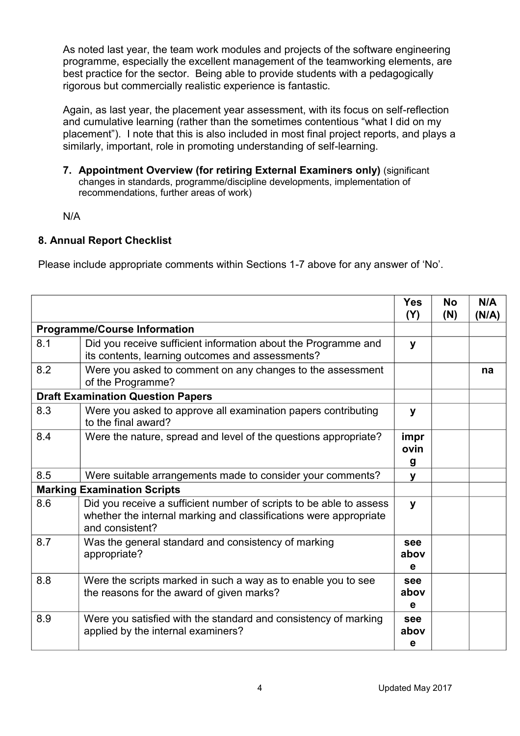As noted last year, the team work modules and projects of the software engineering programme, especially the excellent management of the teamworking elements, are best practice for the sector. Being able to provide students with a pedagogically rigorous but commercially realistic experience is fantastic.

Again, as last year, the placement year assessment, with its focus on self-reflection and cumulative learning (rather than the sometimes contentious "what I did on my placement"). I note that this is also included in most final project reports, and plays a similarly, important, role in promoting understanding of self-learning.

**7. Appointment Overview (for retiring External Examiners only)** (significant changes in standards, programme/discipline developments, implementation of recommendations, further areas of work)

N/A

## **8. Annual Report Checklist**

Please include appropriate comments within Sections 1-7 above for any answer of 'No'.

|     |                                                                                                                                                             | <b>Yes</b><br>(Y) | <b>No</b><br>(N) | N/A<br>(N/A) |
|-----|-------------------------------------------------------------------------------------------------------------------------------------------------------------|-------------------|------------------|--------------|
|     | <b>Programme/Course Information</b>                                                                                                                         |                   |                  |              |
| 8.1 | Did you receive sufficient information about the Programme and<br>its contents, learning outcomes and assessments?                                          | y                 |                  |              |
| 8.2 | Were you asked to comment on any changes to the assessment<br>of the Programme?                                                                             |                   |                  | na           |
|     | <b>Draft Examination Question Papers</b>                                                                                                                    |                   |                  |              |
| 8.3 | Were you asked to approve all examination papers contributing<br>to the final award?                                                                        | y                 |                  |              |
| 8.4 | Were the nature, spread and level of the questions appropriate?                                                                                             | impr<br>ovin<br>g |                  |              |
| 8.5 | Were suitable arrangements made to consider your comments?                                                                                                  | y                 |                  |              |
|     | <b>Marking Examination Scripts</b>                                                                                                                          |                   |                  |              |
| 8.6 | Did you receive a sufficient number of scripts to be able to assess<br>whether the internal marking and classifications were appropriate<br>and consistent? | y                 |                  |              |
| 8.7 | Was the general standard and consistency of marking<br>appropriate?                                                                                         | see<br>abov<br>e  |                  |              |
| 8.8 | Were the scripts marked in such a way as to enable you to see<br>the reasons for the award of given marks?                                                  | see<br>abov<br>e  |                  |              |
| 8.9 | Were you satisfied with the standard and consistency of marking<br>applied by the internal examiners?                                                       | see<br>abov<br>e  |                  |              |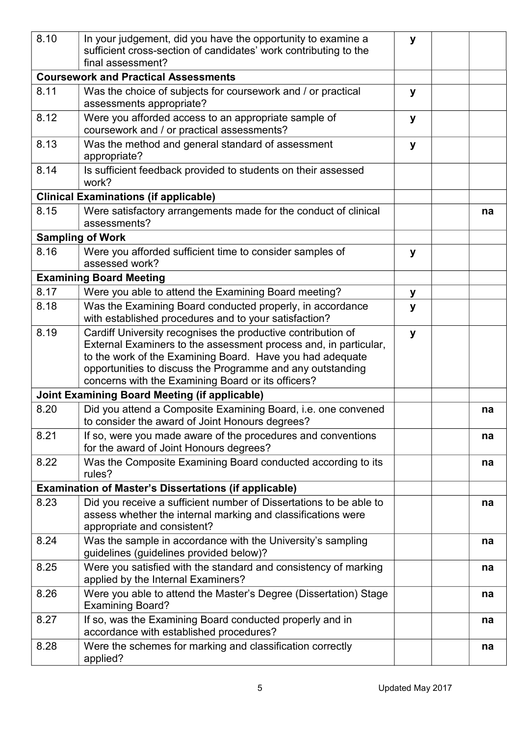| 8.10 | In your judgement, did you have the opportunity to examine a<br>sufficient cross-section of candidates' work contributing to the<br>final assessment?                                                                                                                                                             |   |    |
|------|-------------------------------------------------------------------------------------------------------------------------------------------------------------------------------------------------------------------------------------------------------------------------------------------------------------------|---|----|
|      | <b>Coursework and Practical Assessments</b>                                                                                                                                                                                                                                                                       |   |    |
| 8.11 | Was the choice of subjects for coursework and / or practical<br>assessments appropriate?                                                                                                                                                                                                                          | У |    |
| 8.12 | Were you afforded access to an appropriate sample of<br>coursework and / or practical assessments?                                                                                                                                                                                                                | y |    |
| 8.13 | Was the method and general standard of assessment<br>appropriate?                                                                                                                                                                                                                                                 | y |    |
| 8.14 | Is sufficient feedback provided to students on their assessed<br>work?                                                                                                                                                                                                                                            |   |    |
|      | <b>Clinical Examinations (if applicable)</b>                                                                                                                                                                                                                                                                      |   |    |
| 8.15 | Were satisfactory arrangements made for the conduct of clinical<br>assessments?                                                                                                                                                                                                                                   |   | na |
|      | <b>Sampling of Work</b>                                                                                                                                                                                                                                                                                           |   |    |
| 8.16 | Were you afforded sufficient time to consider samples of<br>assessed work?                                                                                                                                                                                                                                        | У |    |
|      | <b>Examining Board Meeting</b>                                                                                                                                                                                                                                                                                    |   |    |
| 8.17 | Were you able to attend the Examining Board meeting?                                                                                                                                                                                                                                                              | у |    |
| 8.18 | Was the Examining Board conducted properly, in accordance<br>with established procedures and to your satisfaction?                                                                                                                                                                                                | y |    |
| 8.19 | Cardiff University recognises the productive contribution of<br>External Examiners to the assessment process and, in particular,<br>to the work of the Examining Board. Have you had adequate<br>opportunities to discuss the Programme and any outstanding<br>concerns with the Examining Board or its officers? | y |    |
|      | <b>Joint Examining Board Meeting (if applicable)</b>                                                                                                                                                                                                                                                              |   |    |
| 8.20 | Did you attend a Composite Examining Board, i.e. one convened<br>to consider the award of Joint Honours degrees?                                                                                                                                                                                                  |   | na |
| 8.21 | If so, were you made aware of the procedures and conventions<br>for the award of Joint Honours degrees?                                                                                                                                                                                                           |   | na |
| 8.22 | Was the Composite Examining Board conducted according to its<br>rules?                                                                                                                                                                                                                                            |   | na |
|      | <b>Examination of Master's Dissertations (if applicable)</b>                                                                                                                                                                                                                                                      |   |    |
| 8.23 | Did you receive a sufficient number of Dissertations to be able to<br>assess whether the internal marking and classifications were<br>appropriate and consistent?                                                                                                                                                 |   | na |
| 8.24 | Was the sample in accordance with the University's sampling<br>guidelines (guidelines provided below)?                                                                                                                                                                                                            |   | na |
| 8.25 | Were you satisfied with the standard and consistency of marking<br>applied by the Internal Examiners?                                                                                                                                                                                                             |   | na |
| 8.26 | Were you able to attend the Master's Degree (Dissertation) Stage<br><b>Examining Board?</b>                                                                                                                                                                                                                       |   | na |
| 8.27 | If so, was the Examining Board conducted properly and in<br>accordance with established procedures?                                                                                                                                                                                                               |   | na |
| 8.28 | Were the schemes for marking and classification correctly<br>applied?                                                                                                                                                                                                                                             |   | na |